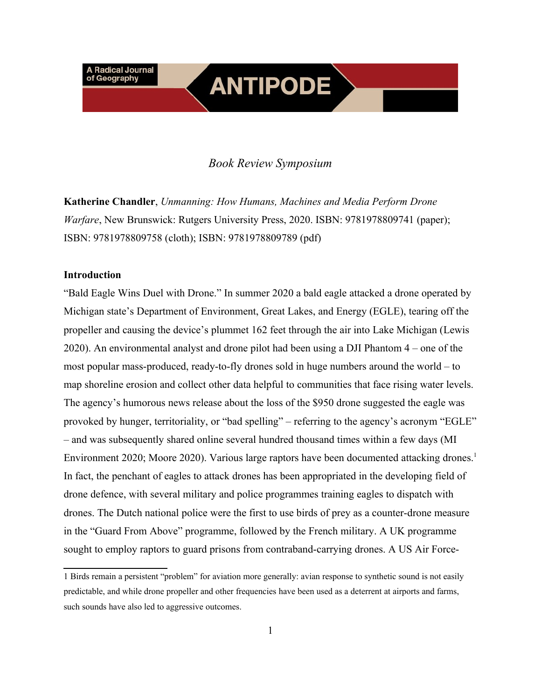#### *Book Review Symposium*

**ANTIPODE** 

**Katherine Chandler**, *Unmanning: How Humans, Machines and Media Perform Drone Warfare*, New Brunswick: Rutgers University Press, 2020. ISBN: 9781978809741 (paper); ISBN: 9781978809758 (cloth); ISBN: 9781978809789 (pdf)

#### **Introduction**

"Bald Eagle Wins Duel with Drone." In summer 2020 a bald eagle attacked a drone operated by Michigan state's Department of Environment, Great Lakes, and Energy (EGLE), tearing off the propeller and causing the device's plummet 162 feet through the air into Lake Michigan (Lewis 2020). An environmental analyst and drone pilot had been using a DJI Phantom 4 – one of the most popular mass-produced, ready-to-fly drones sold in huge numbers around the world – to map shoreline erosion and collect other data helpful to communities that face rising water levels. The agency's humorous news release about the loss of the \$950 drone suggested the eagle was provoked by hunger, territoriality, or "bad spelling" – referring to the agency's acronym "EGLE" – and was subsequently shared online several hundred thousand times within a few days (MI Environment 2020; Moore 2020). Various large raptors have been documented attacking drones.<sup>[1](#page-0-0)</sup> In fact, the penchant of eagles to attack drones has been appropriated in the developing field of drone defence, with several military and police programmes training eagles to dispatch with drones. The Dutch national police were the first to use birds of prey as a counter-drone measure in the "Guard From Above" programme, followed by the French military. A UK programme sought to employ raptors to guard prisons from contraband-carrying drones. A US Air Force-

<span id="page-0-0"></span><sup>1</sup> Birds remain a persistent "problem" for aviation more generally: avian response to synthetic sound is not easily predictable, and while drone propeller and other frequencies have been used as a deterrent at airports and farms, such sounds have also led to aggressive outcomes.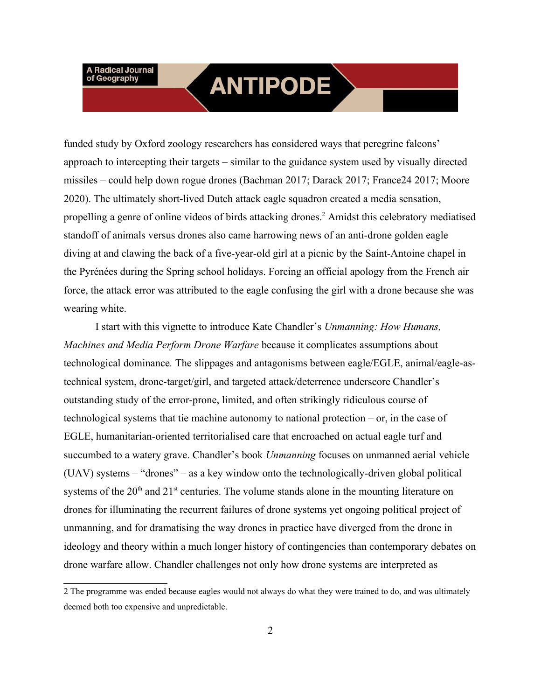### **ANTIPODE**

funded study by Oxford zoology researchers has considered ways that peregrine falcons' approach to intercepting their targets – similar to the guidance system used by visually directed missiles – could help down rogue drones (Bachman 2017; Darack 2017; France24 2017; Moore 2020). The ultimately short-lived Dutch attack eagle squadron created a media sensation, propelling a genre of online videos of birds attacking drones.<sup>[2](#page-1-0)</sup> Amidst this celebratory mediatised standoff of animals versus drones also came harrowing news of an anti-drone golden eagle diving at and clawing the back of a five-year-old girl at a picnic by the Saint-Antoine chapel in the Pyrénées during the Spring school holidays. Forcing an official apology from the French air force, the attack error was attributed to the eagle confusing the girl with a drone because she was wearing white.

I start with this vignette to introduce Kate Chandler's *Unmanning: How Humans, Machines and Media Perform Drone Warfare* because it complicates assumptions about technological dominance*.* The slippages and antagonisms between eagle/EGLE, animal/eagle-astechnical system, drone-target/girl, and targeted attack/deterrence underscore Chandler's outstanding study of the error-prone, limited, and often strikingly ridiculous course of technological systems that tie machine autonomy to national protection – or, in the case of EGLE, humanitarian-oriented territorialised care that encroached on actual eagle turf and succumbed to a watery grave. Chandler's book *Unmanning* focuses on unmanned aerial vehicle (UAV) systems – "drones" – as a key window onto the technologically-driven global political systems of the  $20<sup>th</sup>$  and  $21<sup>st</sup>$  centuries. The volume stands alone in the mounting literature on drones for illuminating the recurrent failures of drone systems yet ongoing political project of unmanning, and for dramatising the way drones in practice have diverged from the drone in ideology and theory within a much longer history of contingencies than contemporary debates on drone warfare allow. Chandler challenges not only how drone systems are interpreted as

<span id="page-1-0"></span><sup>2</sup> The programme was ended because eagles would not always do what they were trained to do, and was ultimately deemed both too expensive and unpredictable.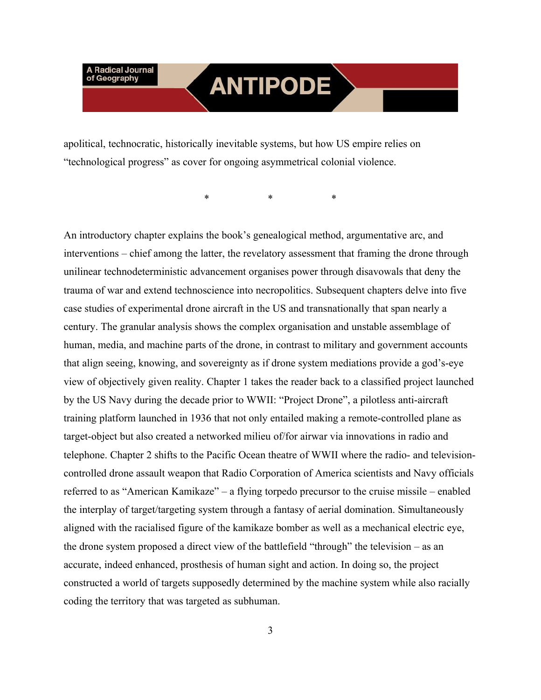## **ANTIPODE**

apolitical, technocratic, historically inevitable systems, but how US empire relies on "technological progress" as cover for ongoing asymmetrical colonial violence.

\* \* \*

An introductory chapter explains the book's genealogical method, argumentative arc, and interventions – chief among the latter, the revelatory assessment that framing the drone through unilinear technodeterministic advancement organises power through disavowals that deny the trauma of war and extend technoscience into necropolitics. Subsequent chapters delve into five case studies of experimental drone aircraft in the US and transnationally that span nearly a century. The granular analysis shows the complex organisation and unstable assemblage of human, media, and machine parts of the drone, in contrast to military and government accounts that align seeing, knowing, and sovereignty as if drone system mediations provide a god's-eye view of objectively given reality. Chapter 1 takes the reader back to a classified project launched by the US Navy during the decade prior to WWII: "Project Drone", a pilotless anti-aircraft training platform launched in 1936 that not only entailed making a remote-controlled plane as target-object but also created a networked milieu of/for airwar via innovations in radio and telephone. Chapter 2 shifts to the Pacific Ocean theatre of WWII where the radio- and televisioncontrolled drone assault weapon that Radio Corporation of America scientists and Navy officials referred to as "American Kamikaze" – a flying torpedo precursor to the cruise missile – enabled the interplay of target/targeting system through a fantasy of aerial domination. Simultaneously aligned with the racialised figure of the kamikaze bomber as well as a mechanical electric eye, the drone system proposed a direct view of the battlefield "through" the television – as an accurate, indeed enhanced, prosthesis of human sight and action. In doing so, the project constructed a world of targets supposedly determined by the machine system while also racially coding the territory that was targeted as subhuman.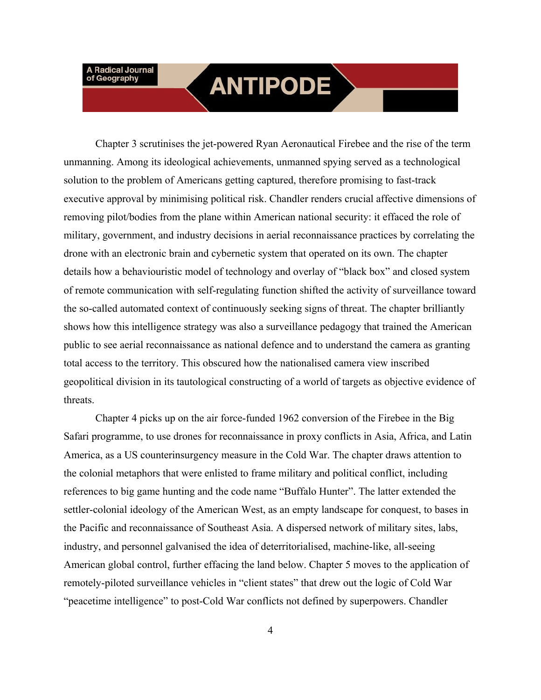### **ANTIPODE**

Chapter 3 scrutinises the jet-powered Ryan Aeronautical Firebee and the rise of the term unmanning. Among its ideological achievements, unmanned spying served as a technological solution to the problem of Americans getting captured, therefore promising to fast-track executive approval by minimising political risk. Chandler renders crucial affective dimensions of removing pilot/bodies from the plane within American national security: it effaced the role of military, government, and industry decisions in aerial reconnaissance practices by correlating the drone with an electronic brain and cybernetic system that operated on its own. The chapter details how a behaviouristic model of technology and overlay of "black box" and closed system of remote communication with self-regulating function shifted the activity of surveillance toward the so-called automated context of continuously seeking signs of threat. The chapter brilliantly shows how this intelligence strategy was also a surveillance pedagogy that trained the American public to see aerial reconnaissance as national defence and to understand the camera as granting total access to the territory. This obscured how the nationalised camera view inscribed geopolitical division in its tautological constructing of a world of targets as objective evidence of threats.

Chapter 4 picks up on the air force-funded 1962 conversion of the Firebee in the Big Safari programme, to use drones for reconnaissance in proxy conflicts in Asia, Africa, and Latin America, as a US counterinsurgency measure in the Cold War. The chapter draws attention to the colonial metaphors that were enlisted to frame military and political conflict, including references to big game hunting and the code name "Buffalo Hunter". The latter extended the settler-colonial ideology of the American West, as an empty landscape for conquest, to bases in the Pacific and reconnaissance of Southeast Asia. A dispersed network of military sites, labs, industry, and personnel galvanised the idea of deterritorialised, machine-like, all-seeing American global control, further effacing the land below. Chapter 5 moves to the application of remotely-piloted surveillance vehicles in "client states" that drew out the logic of Cold War "peacetime intelligence" to post-Cold War conflicts not defined by superpowers. Chandler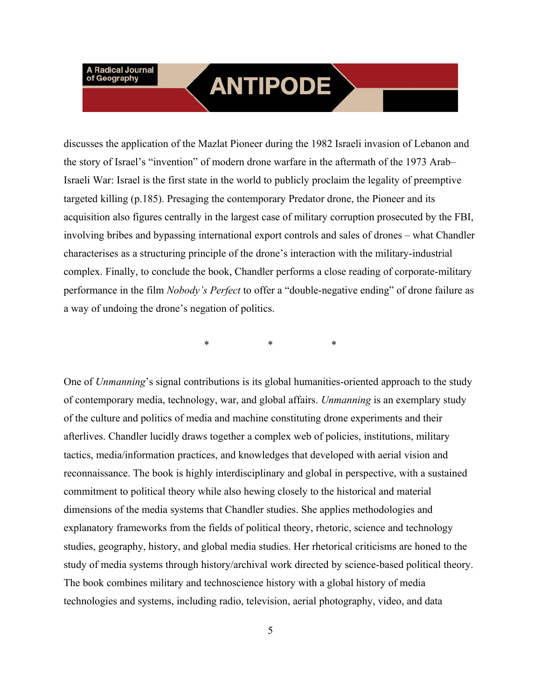### **ANTIPODE**

discusses the application of the Mazlat Pioneer during the 1982 Israeli invasion of Lebanon and the story of Israel's "invention" of modern drone warfare in the aftermath of the 1973 Arab– Israeli War: Israel is the first state in the world to publicly proclaim the legality of preemptive targeted killing (p.185). Presaging the contemporary Predator drone, the Pioneer and its acquisition also figures centrally in the largest case of military corruption prosecuted by the FBI, involving bribes and bypassing international export controls and sales of drones – what Chandler characterises as a structuring principle of the drone's interaction with the military-industrial complex. Finally, to conclude the book, Chandler performs a close reading of corporate-military performance in the film *Nobody's Perfect* to offer a "double-negative ending" of drone failure as a way of undoing the drone's negation of politics.

\* \* \*

One of *Unmanning*'s signal contributions is its global humanities-oriented approach to the study of contemporary media, technology, war, and global affairs. *Unmanning* is an exemplary study of the culture and politics of media and machine constituting drone experiments and their afterlives. Chandler lucidly draws together a complex web of policies, institutions, military tactics, media/information practices, and knowledges that developed with aerial vision and reconnaissance. The book is highly interdisciplinary and global in perspective, with a sustained commitment to political theory while also hewing closely to the historical and material dimensions of the media systems that Chandler studies. She applies methodologies and explanatory frameworks from the fields of political theory, rhetoric, science and technology studies, geography, history, and global media studies. Her rhetorical criticisms are honed to the study of media systems through history/archival work directed by science-based political theory. The book combines military and technoscience history with a global history of media technologies and systems, including radio, television, aerial photography, video, and data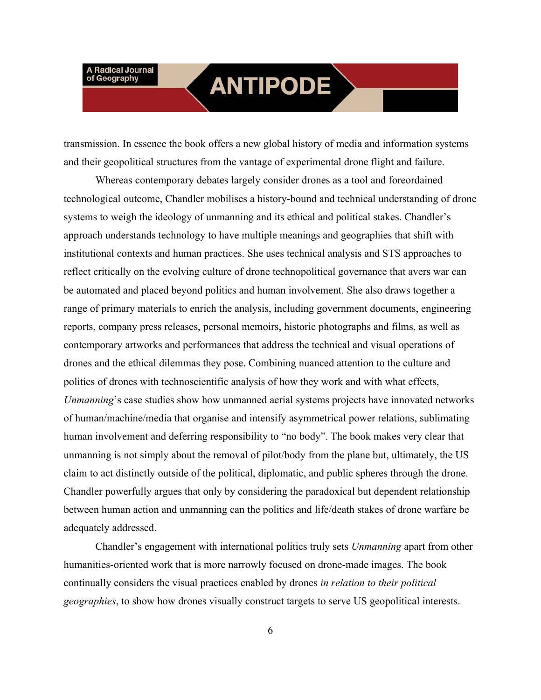#### **ANTIPODE**

transmission. In essence the book offers a new global history of media and information systems and their geopolitical structures from the vantage of experimental drone flight and failure.

Whereas contemporary debates largely consider drones as a tool and foreordained technological outcome, Chandler mobilises a history-bound and technical understanding of drone systems to weigh the ideology of unmanning and its ethical and political stakes. Chandler's approach understands technology to have multiple meanings and geographies that shift with institutional contexts and human practices. She uses technical analysis and STS approaches to reflect critically on the evolving culture of drone technopolitical governance that avers war can be automated and placed beyond politics and human involvement. She also draws together a range of primary materials to enrich the analysis, including government documents, engineering reports, company press releases, personal memoirs, historic photographs and films, as well as contemporary artworks and performances that address the technical and visual operations of drones and the ethical dilemmas they pose. Combining nuanced attention to the culture and politics of drones with technoscientific analysis of how they work and with what effects, *Unmanning*'s case studies show how unmanned aerial systems projects have innovated networks of human/machine/media that organise and intensify asymmetrical power relations, sublimating human involvement and deferring responsibility to "no body". The book makes very clear that unmanning is not simply about the removal of pilot/body from the plane but, ultimately, the US claim to act distinctly outside of the political, diplomatic, and public spheres through the drone. Chandler powerfully argues that only by considering the paradoxical but dependent relationship between human action and unmanning can the politics and life/death stakes of drone warfare be adequately addressed.

Chandler's engagement with international politics truly sets *Unmanning* apart from other humanities-oriented work that is more narrowly focused on drone-made images. The book continually considers the visual practices enabled by drones *in relation to their political geographies*, to show how drones visually construct targets to serve US geopolitical interests.

6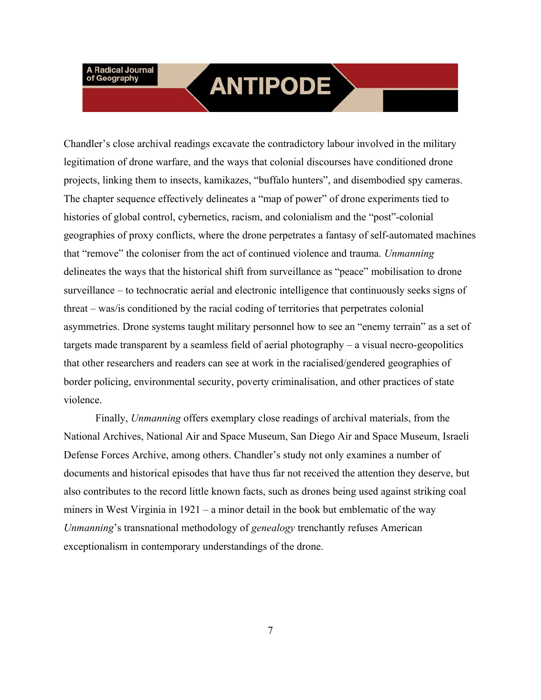### **ANTIPODE**

Chandler's close archival readings excavate the contradictory labour involved in the military legitimation of drone warfare, and the ways that colonial discourses have conditioned drone projects, linking them to insects, kamikazes, "buffalo hunters", and disembodied spy cameras. The chapter sequence effectively delineates a "map of power" of drone experiments tied to histories of global control, cybernetics, racism, and colonialism and the "post"-colonial geographies of proxy conflicts, where the drone perpetrates a fantasy of self-automated machines that "remove" the coloniser from the act of continued violence and trauma. *Unmanning*  delineates the ways that the historical shift from surveillance as "peace" mobilisation to drone surveillance – to technocratic aerial and electronic intelligence that continuously seeks signs of threat – was/is conditioned by the racial coding of territories that perpetrates colonial asymmetries. Drone systems taught military personnel how to see an "enemy terrain" as a set of targets made transparent by a seamless field of aerial photography – a visual necro-geopolitics that other researchers and readers can see at work in the racialised/gendered geographies of border policing, environmental security, poverty criminalisation, and other practices of state violence.

Finally, *Unmanning* offers exemplary close readings of archival materials, from the National Archives, National Air and Space Museum, San Diego Air and Space Museum, Israeli Defense Forces Archive, among others. Chandler's study not only examines a number of documents and historical episodes that have thus far not received the attention they deserve, but also contributes to the record little known facts, such as drones being used against striking coal miners in West Virginia in  $1921 - a$  minor detail in the book but emblematic of the way *Unmanning*'s transnational methodology of *genealogy* trenchantly refuses American exceptionalism in contemporary understandings of the drone.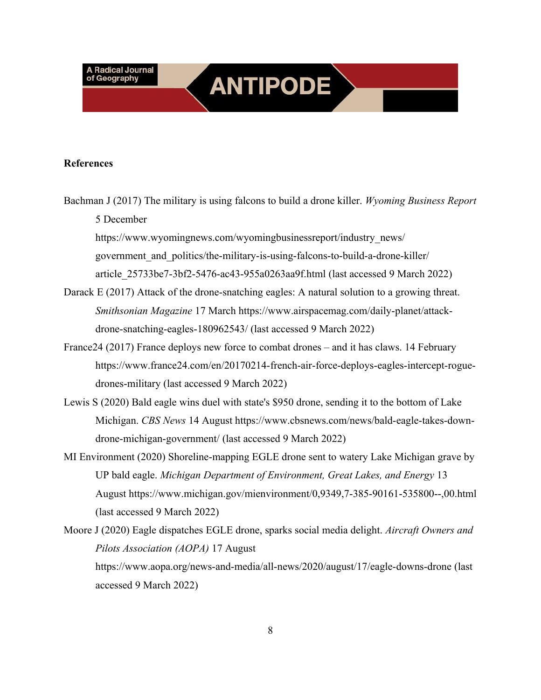#### **References**

Bachman J (2017) The military is using falcons to build a drone killer. *Wyoming Business Report* 5 December

**ANTIPODE** 

https://www.wyomingnews.com/wyomingbusinessreport/industry\_news/ government\_and\_politics/the-military-is-using-falcons-to-build-a-drone-killer/ article\_25733be7-3bf2-5476-ac43-955a0263aa9f.html (last accessed 9 March 2022)

- Darack E (2017) Attack of the drone-snatching eagles: A natural solution to a growing threat. *Smithsonian Magazine* 17 March https://www.airspacemag.com/daily-planet/attackdrone-snatching-eagles-180962543/ (last accessed 9 March 2022)
- France24 (2017) France deploys new force to combat drones and it has claws. 14 February https://www.france24.com/en/20170214-french-air-force-deploys-eagles-intercept-roguedrones-military (last accessed 9 March 2022)
- Lewis S (2020) Bald eagle wins duel with state's \$950 drone, sending it to the bottom of Lake Michigan. *CBS News* 14 August https://www.cbsnews.com/news/bald-eagle-takes-downdrone-michigan-government/ (last accessed 9 March 2022)
- MI Environment (2020) Shoreline-mapping EGLE drone sent to watery Lake Michigan grave by UP bald eagle. *Michigan Department of Environment, Great Lakes, and Energy* 13 August https://www.michigan.gov/mienvironment/0,9349,7-385-90161-535800--,00.html (last accessed 9 March 2022)
- Moore J (2020) Eagle dispatches EGLE drone, sparks social media delight. *Aircraft Owners and Pilots Association (AOPA)* 17 August https://www.aopa.org/news-and-media/all-news/2020/august/17/eagle-downs-drone (last accessed 9 March 2022)